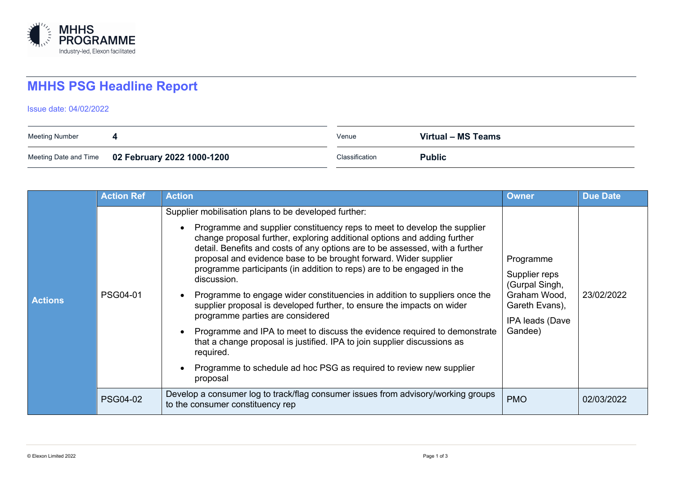

## **MHHS PSG Headline Report**

Issue date: 04/02/2022

| Meeting Number |                                                  | Venue          | Virtual - MS Teams |
|----------------|--------------------------------------------------|----------------|--------------------|
|                | Meeting Date and Time 02 February 2022 1000-1200 | Classification | <b>Public</b>      |

|                | <b>Action Ref</b> | <b>Action</b>                                                                                                                                                                                                                                                                                                                                                                                                                                                                                                                                                                                                                                                                                                                                                                                                                                                                                                 | <b>Owner</b>                                                                                                 | <b>Due Date</b> |
|----------------|-------------------|---------------------------------------------------------------------------------------------------------------------------------------------------------------------------------------------------------------------------------------------------------------------------------------------------------------------------------------------------------------------------------------------------------------------------------------------------------------------------------------------------------------------------------------------------------------------------------------------------------------------------------------------------------------------------------------------------------------------------------------------------------------------------------------------------------------------------------------------------------------------------------------------------------------|--------------------------------------------------------------------------------------------------------------|-----------------|
| <b>Actions</b> | <b>PSG04-01</b>   | Supplier mobilisation plans to be developed further:<br>Programme and supplier constituency reps to meet to develop the supplier<br>change proposal further, exploring additional options and adding further<br>detail. Benefits and costs of any options are to be assessed, with a further<br>proposal and evidence base to be brought forward. Wider supplier<br>programme participants (in addition to reps) are to be engaged in the<br>discussion.<br>Programme to engage wider constituencies in addition to suppliers once the<br>supplier proposal is developed further, to ensure the impacts on wider<br>programme parties are considered<br>Programme and IPA to meet to discuss the evidence required to demonstrate<br>that a change proposal is justified. IPA to join supplier discussions as<br>required.<br>Programme to schedule ad hoc PSG as required to review new supplier<br>proposal | Programme<br>Supplier reps<br>(Gurpal Singh,<br>Graham Wood,<br>Gareth Evans),<br>IPA leads (Dave<br>Gandee) | 23/02/2022      |
|                | <b>PSG04-02</b>   | Develop a consumer log to track/flag consumer issues from advisory/working groups<br>to the consumer constituency rep                                                                                                                                                                                                                                                                                                                                                                                                                                                                                                                                                                                                                                                                                                                                                                                         | <b>PMO</b>                                                                                                   | 02/03/2022      |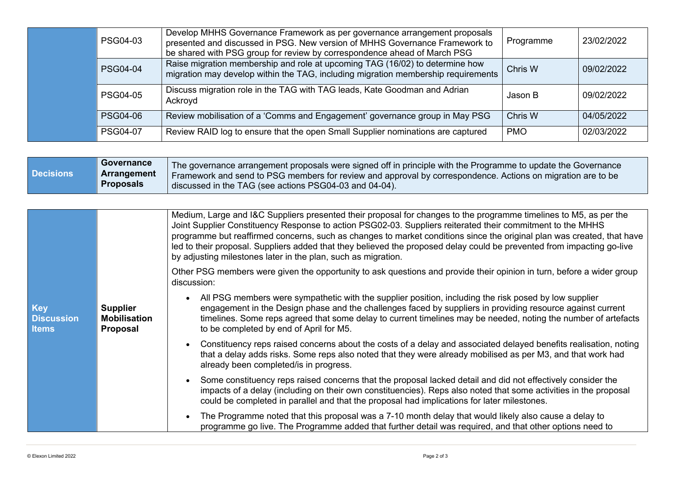| PSG04-03        | Develop MHHS Governance Framework as per governance arrangement proposals<br>presented and discussed in PSG. New version of MHHS Governance Framework to<br>be shared with PSG group for review by correspondence ahead of March PSG | Programme  | 23/02/2022 |
|-----------------|--------------------------------------------------------------------------------------------------------------------------------------------------------------------------------------------------------------------------------------|------------|------------|
| <b>PSG04-04</b> | Raise migration membership and role at upcoming TAG (16/02) to determine how<br>migration may develop within the TAG, including migration membership requirements                                                                    | Chris W    | 09/02/2022 |
| <b>PSG04-05</b> | Discuss migration role in the TAG with TAG leads, Kate Goodman and Adrian<br>Ackroyd                                                                                                                                                 | Jason B    | 09/02/2022 |
| <b>PSG04-06</b> | Review mobilisation of a 'Comms and Engagement' governance group in May PSG                                                                                                                                                          | Chris W    | 04/05/2022 |
| <b>PSG04-07</b> | Review RAID log to ensure that the open Small Supplier nominations are captured                                                                                                                                                      | <b>PMO</b> | 02/03/2022 |

| Arrangement<br>  Framework and send to PSG members for review and approval by correspondence. Actions on migration are to be<br><b>Proposals</b><br>discussed in the TAG (see actions PSG04-03 and 04-04). | <b>Decisions</b> |
|------------------------------------------------------------------------------------------------------------------------------------------------------------------------------------------------------------|------------------|
|------------------------------------------------------------------------------------------------------------------------------------------------------------------------------------------------------------|------------------|

|                                                 |                                                    | Medium, Large and I&C Suppliers presented their proposal for changes to the programme timelines to M5, as per the<br>Joint Supplier Constituency Response to action PSG02-03. Suppliers reiterated their commitment to the MHHS<br>programme but reaffirmed concerns, such as changes to market conditions since the original plan was created, that have<br>led to their proposal. Suppliers added that they believed the proposed delay could be prevented from impacting go-live<br>by adjusting milestones later in the plan, such as migration. |
|-------------------------------------------------|----------------------------------------------------|------------------------------------------------------------------------------------------------------------------------------------------------------------------------------------------------------------------------------------------------------------------------------------------------------------------------------------------------------------------------------------------------------------------------------------------------------------------------------------------------------------------------------------------------------|
|                                                 |                                                    | Other PSG members were given the opportunity to ask questions and provide their opinion in turn, before a wider group<br>discussion:                                                                                                                                                                                                                                                                                                                                                                                                                 |
| <b>Key</b><br><b>Discussion</b><br><b>Items</b> | <b>Supplier</b><br><b>Mobilisation</b><br>Proposal | All PSG members were sympathetic with the supplier position, including the risk posed by low supplier<br>$\bullet$<br>engagement in the Design phase and the challenges faced by suppliers in providing resource against current<br>timelines. Some reps agreed that some delay to current timelines may be needed, noting the number of artefacts<br>to be completed by end of April for M5.                                                                                                                                                        |
|                                                 |                                                    | Constituency reps raised concerns about the costs of a delay and associated delayed benefits realisation, noting<br>that a delay adds risks. Some reps also noted that they were already mobilised as per M3, and that work had<br>already been completed/is in progress.                                                                                                                                                                                                                                                                            |
|                                                 |                                                    | Some constituency reps raised concerns that the proposal lacked detail and did not effectively consider the<br>impacts of a delay (including on their own constituencies). Reps also noted that some activities in the proposal<br>could be completed in parallel and that the proposal had implications for later milestones.                                                                                                                                                                                                                       |
|                                                 |                                                    | The Programme noted that this proposal was a 7-10 month delay that would likely also cause a delay to<br>programme go live. The Programme added that further detail was required, and that other options need to                                                                                                                                                                                                                                                                                                                                     |